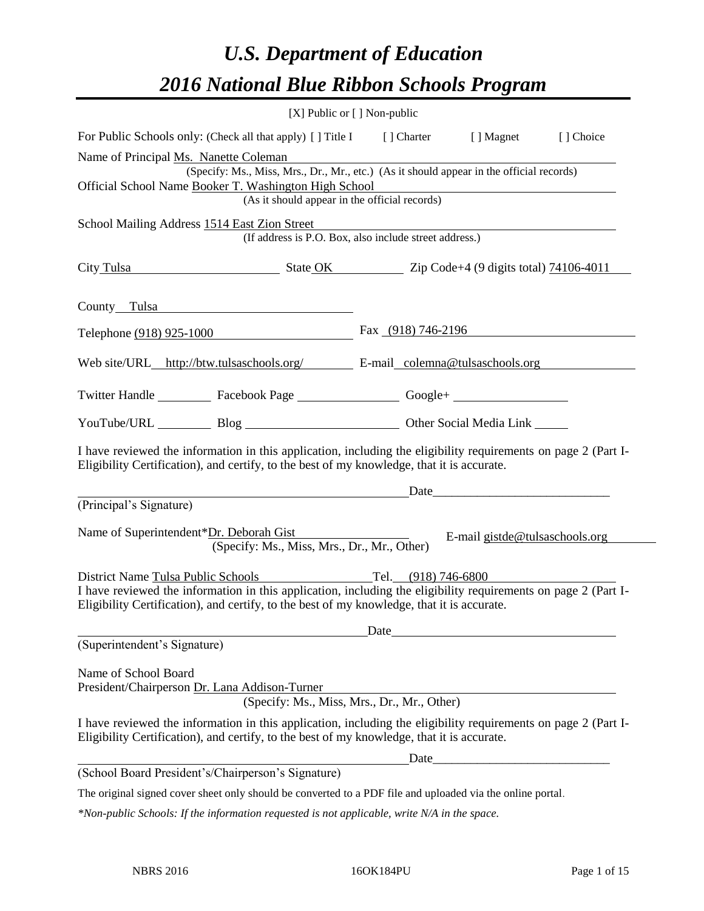# *U.S. Department of Education 2016 National Blue Ribbon Schools Program*

|                                                                                                                                                                                                              | [X] Public or [] Non-public |                                                                                                                                                                                                                                |           |
|--------------------------------------------------------------------------------------------------------------------------------------------------------------------------------------------------------------|-----------------------------|--------------------------------------------------------------------------------------------------------------------------------------------------------------------------------------------------------------------------------|-----------|
| For Public Schools only: (Check all that apply) [] Title I [] Charter [] Magnet                                                                                                                              |                             |                                                                                                                                                                                                                                | [] Choice |
| Name of Principal Ms. Nanette Coleman                                                                                                                                                                        |                             |                                                                                                                                                                                                                                |           |
| (Specify: Ms., Miss, Mrs., Dr., Mr., etc.) (As it should appear in the official records)                                                                                                                     |                             |                                                                                                                                                                                                                                |           |
| Official School Name Booker T. Washington High School<br>(As it should appear in the official records)                                                                                                       |                             |                                                                                                                                                                                                                                |           |
|                                                                                                                                                                                                              |                             |                                                                                                                                                                                                                                |           |
| School Mailing Address 1514 East Zion Street<br>(If address is P.O. Box, also include street address.)                                                                                                       |                             |                                                                                                                                                                                                                                |           |
|                                                                                                                                                                                                              |                             |                                                                                                                                                                                                                                |           |
| City Tulsa State OK Zip Code+4 (9 digits total) 74106-4011                                                                                                                                                   |                             |                                                                                                                                                                                                                                |           |
|                                                                                                                                                                                                              |                             |                                                                                                                                                                                                                                |           |
| County Tulsa                                                                                                                                                                                                 |                             |                                                                                                                                                                                                                                |           |
| Telephone (918) 925-1000                                                                                                                                                                                     | Fax $(918)$ 746-2196        |                                                                                                                                                                                                                                |           |
|                                                                                                                                                                                                              |                             |                                                                                                                                                                                                                                |           |
| Web site/URL_http://btw.tulsaschools.org/ E-mail_colemna@tulsaschools.org                                                                                                                                    |                             |                                                                                                                                                                                                                                |           |
|                                                                                                                                                                                                              |                             |                                                                                                                                                                                                                                |           |
| Twitter Handle ____________ Facebook Page _____________________ Google+ ____________________________                                                                                                         |                             |                                                                                                                                                                                                                                |           |
| YouTube/URL Blog Blog Discount Communication Communications                                                                                                                                                  |                             |                                                                                                                                                                                                                                |           |
| I have reviewed the information in this application, including the eligibility requirements on page 2 (Part I-<br>Eligibility Certification), and certify, to the best of my knowledge, that it is accurate. |                             |                                                                                                                                                                                                                                |           |
|                                                                                                                                                                                                              |                             | Date and the contract of the contract of the contract of the contract of the contract of the contract of the contract of the contract of the contract of the contract of the contract of the contract of the contract of the c |           |
| (Principal's Signature)                                                                                                                                                                                      |                             |                                                                                                                                                                                                                                |           |
| Name of Superintendent*Dr. Deborah Gist<br>(Specify: Ms., Miss, Mrs., Dr., Mr., Other)                                                                                                                       |                             | E-mail gistde@tulsaschools.org                                                                                                                                                                                                 |           |
| District Name Tulsa Public Schools                                                                                                                                                                           | Tel. (918) 746-6800         |                                                                                                                                                                                                                                |           |
| I have reviewed the information in this application, including the eligibility requirements on page 2 (Part I-                                                                                               |                             |                                                                                                                                                                                                                                |           |
| Eligibility Certification), and certify, to the best of my knowledge, that it is accurate.                                                                                                                   |                             |                                                                                                                                                                                                                                |           |
|                                                                                                                                                                                                              |                             | Date                                                                                                                                                                                                                           |           |
| (Superintendent's Signature)                                                                                                                                                                                 |                             |                                                                                                                                                                                                                                |           |
|                                                                                                                                                                                                              |                             |                                                                                                                                                                                                                                |           |
| Name of School Board<br>President/Chairperson Dr. Lana Addison-Turner                                                                                                                                        |                             |                                                                                                                                                                                                                                |           |
| Audison-1 urner<br>(Specify: Ms., Miss, Mrs., Dr., Mr., Other)                                                                                                                                               |                             |                                                                                                                                                                                                                                |           |
| I have reviewed the information in this application, including the eligibility requirements on page 2 (Part I-<br>Eligibility Certification), and certify, to the best of my knowledge, that it is accurate. |                             |                                                                                                                                                                                                                                |           |
|                                                                                                                                                                                                              |                             |                                                                                                                                                                                                                                |           |
| (School Board President's/Chairperson's Signature)                                                                                                                                                           |                             |                                                                                                                                                                                                                                |           |
| The original signed cover sheet only should be converted to a PDF file and uploaded via the online portal.                                                                                                   |                             |                                                                                                                                                                                                                                |           |

*\*Non-public Schools: If the information requested is not applicable, write N/A in the space.*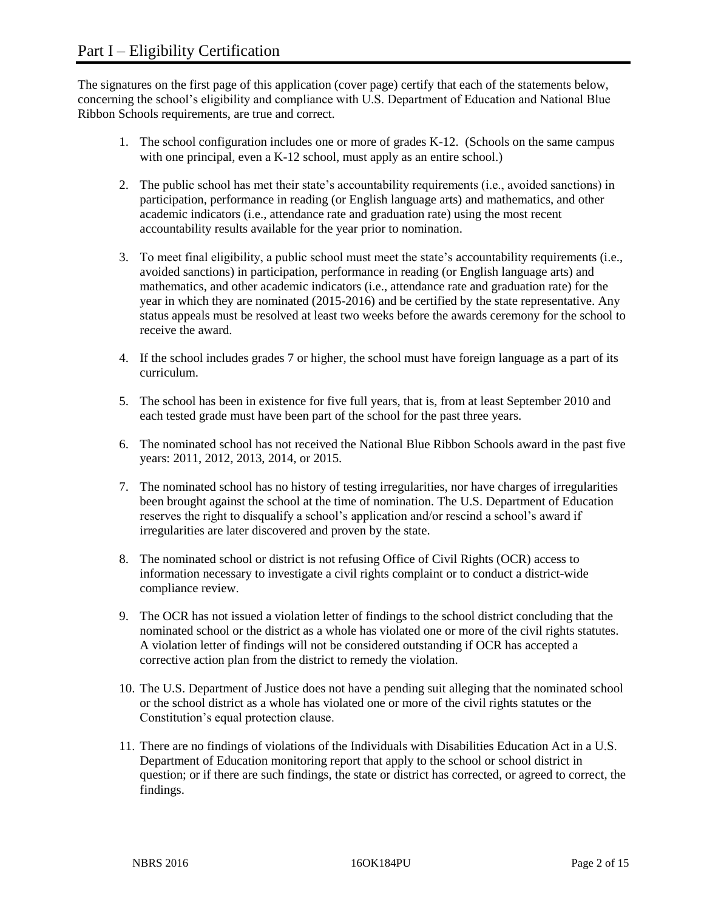The signatures on the first page of this application (cover page) certify that each of the statements below, concerning the school's eligibility and compliance with U.S. Department of Education and National Blue Ribbon Schools requirements, are true and correct.

- 1. The school configuration includes one or more of grades K-12. (Schools on the same campus with one principal, even a K-12 school, must apply as an entire school.)
- 2. The public school has met their state's accountability requirements (i.e., avoided sanctions) in participation, performance in reading (or English language arts) and mathematics, and other academic indicators (i.e., attendance rate and graduation rate) using the most recent accountability results available for the year prior to nomination.
- 3. To meet final eligibility, a public school must meet the state's accountability requirements (i.e., avoided sanctions) in participation, performance in reading (or English language arts) and mathematics, and other academic indicators (i.e., attendance rate and graduation rate) for the year in which they are nominated (2015-2016) and be certified by the state representative. Any status appeals must be resolved at least two weeks before the awards ceremony for the school to receive the award.
- 4. If the school includes grades 7 or higher, the school must have foreign language as a part of its curriculum.
- 5. The school has been in existence for five full years, that is, from at least September 2010 and each tested grade must have been part of the school for the past three years.
- 6. The nominated school has not received the National Blue Ribbon Schools award in the past five years: 2011, 2012, 2013, 2014, or 2015.
- 7. The nominated school has no history of testing irregularities, nor have charges of irregularities been brought against the school at the time of nomination. The U.S. Department of Education reserves the right to disqualify a school's application and/or rescind a school's award if irregularities are later discovered and proven by the state.
- 8. The nominated school or district is not refusing Office of Civil Rights (OCR) access to information necessary to investigate a civil rights complaint or to conduct a district-wide compliance review.
- 9. The OCR has not issued a violation letter of findings to the school district concluding that the nominated school or the district as a whole has violated one or more of the civil rights statutes. A violation letter of findings will not be considered outstanding if OCR has accepted a corrective action plan from the district to remedy the violation.
- 10. The U.S. Department of Justice does not have a pending suit alleging that the nominated school or the school district as a whole has violated one or more of the civil rights statutes or the Constitution's equal protection clause.
- 11. There are no findings of violations of the Individuals with Disabilities Education Act in a U.S. Department of Education monitoring report that apply to the school or school district in question; or if there are such findings, the state or district has corrected, or agreed to correct, the findings.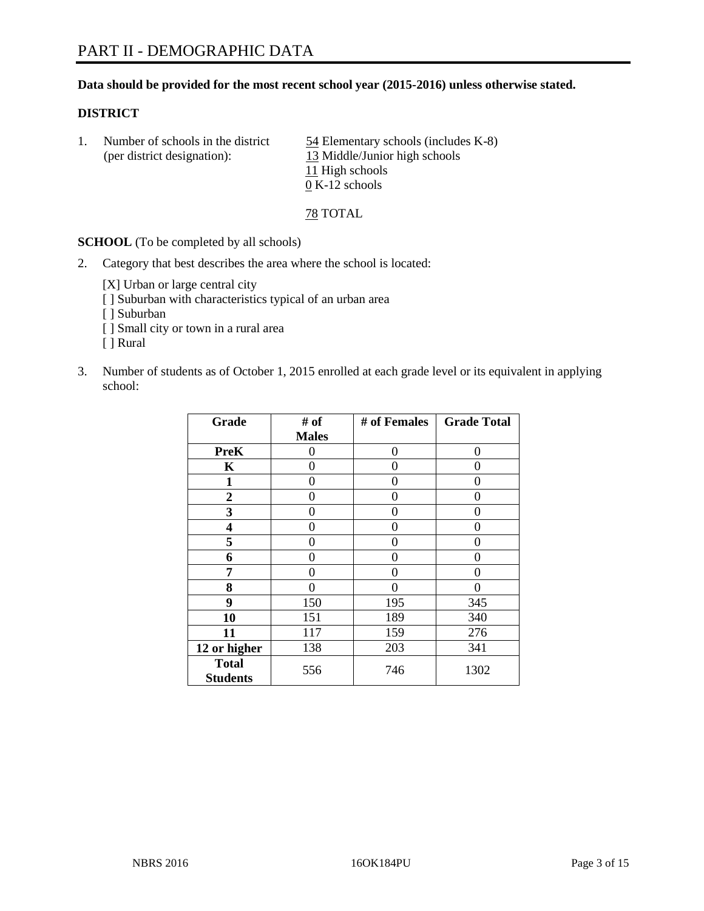#### **Data should be provided for the most recent school year (2015-2016) unless otherwise stated.**

#### **DISTRICT**

1. Number of schools in the district  $\frac{54}{2}$  Elementary schools (includes K-8) (per district designation): 13 Middle/Junior high schools 11 High schools  $\overline{0}$  K-12 schools

78 TOTAL

**SCHOOL** (To be completed by all schools)

2. Category that best describes the area where the school is located:

[X] Urban or large central city [ ] Suburban with characteristics typical of an urban area [ ] Suburban

- [ ] Small city or town in a rural area
- [ ] Rural
- 3. Number of students as of October 1, 2015 enrolled at each grade level or its equivalent in applying school:

| Grade                           | # of         | # of Females | <b>Grade Total</b> |
|---------------------------------|--------------|--------------|--------------------|
|                                 | <b>Males</b> |              |                    |
| <b>PreK</b>                     | 0            | 0            | 0                  |
| K                               | 0            | 0            | $\theta$           |
| 1                               | 0            | 0            | $\Omega$           |
| $\boldsymbol{2}$                | 0            | 0            | 0                  |
| 3                               | 0            | 0            | $\theta$           |
| 4                               | 0            | 0            | $\theta$           |
| 5                               | 0            | 0            | 0                  |
| 6                               | 0            | 0            | $\theta$           |
| 7                               | 0            | 0            | 0                  |
| 8                               | 0            | 0            | 0                  |
| 9                               | 150          | 195          | 345                |
| 10                              | 151          | 189          | 340                |
| 11                              | 117          | 159          | 276                |
| 12 or higher                    | 138          | 203          | 341                |
| <b>Total</b><br><b>Students</b> | 556          | 746          | 1302               |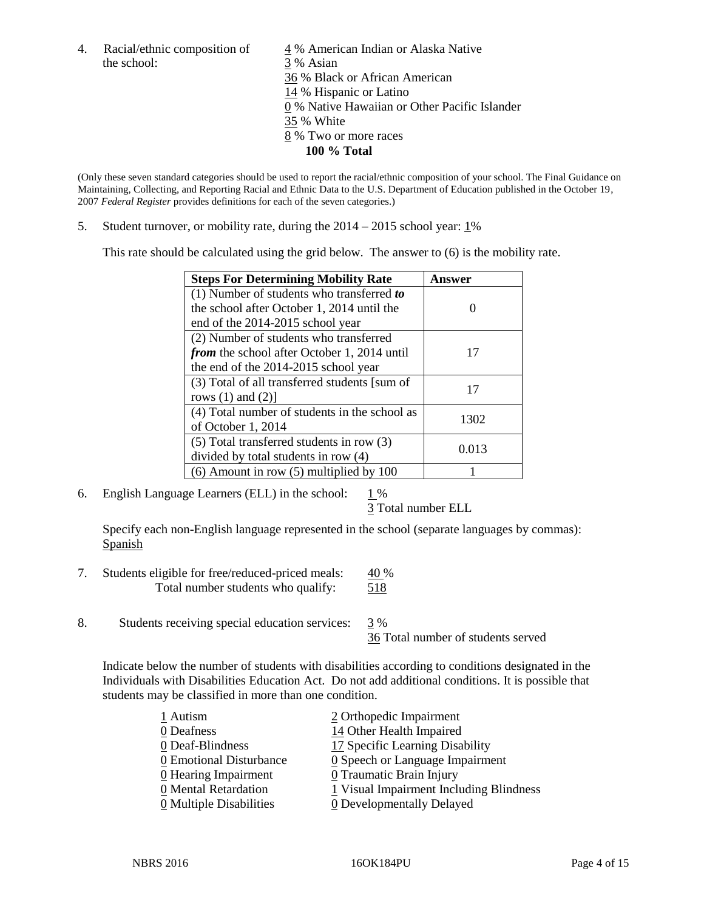the school: 3 % Asian

4. Racial/ethnic composition of  $\frac{4}{9}$ % American Indian or Alaska Native 36 % Black or African American 14 % Hispanic or Latino 0 % Native Hawaiian or Other Pacific Islander 35 % White 8 % Two or more races **100 % Total**

(Only these seven standard categories should be used to report the racial/ethnic composition of your school. The Final Guidance on Maintaining, Collecting, and Reporting Racial and Ethnic Data to the U.S. Department of Education published in the October 19, 2007 *Federal Register* provides definitions for each of the seven categories.)

5. Student turnover, or mobility rate, during the  $2014 - 2015$  school year:  $1\%$ 

This rate should be calculated using the grid below. The answer to (6) is the mobility rate.

| <b>Steps For Determining Mobility Rate</b>    | Answer |  |
|-----------------------------------------------|--------|--|
| $(1)$ Number of students who transferred to   |        |  |
| the school after October 1, 2014 until the    |        |  |
| end of the 2014-2015 school year              |        |  |
| (2) Number of students who transferred        |        |  |
| from the school after October 1, 2014 until   | 17     |  |
| the end of the 2014-2015 school year          |        |  |
| (3) Total of all transferred students [sum of | 17     |  |
| rows $(1)$ and $(2)$ ]                        |        |  |
| (4) Total number of students in the school as | 1302   |  |
| of October 1, 2014                            |        |  |
| $(5)$ Total transferred students in row $(3)$ | 0.013  |  |
| divided by total students in row (4)          |        |  |
| $(6)$ Amount in row $(5)$ multiplied by 100   |        |  |

6. English Language Learners (ELL) in the school:  $1\%$ 

3 Total number ELL

Specify each non-English language represented in the school (separate languages by commas): Spanish

- 7. Students eligible for free/reduced-priced meals: 40 % Total number students who qualify: 518
- 8. Students receiving special education services: 3 %

36 Total number of students served

Indicate below the number of students with disabilities according to conditions designated in the Individuals with Disabilities Education Act. Do not add additional conditions. It is possible that students may be classified in more than one condition.

| 1 Autism                           | 2 Orthopedic Impairment                       |
|------------------------------------|-----------------------------------------------|
| 0 Deafness                         | 14 Other Health Impaired                      |
| 0 Deaf-Blindness                   | 17 Specific Learning Disability               |
| 0 Emotional Disturbance            | $\underline{0}$ Speech or Language Impairment |
| $\underline{0}$ Hearing Impairment | 0 Traumatic Brain Injury                      |
| 0 Mental Retardation               | 1 Visual Impairment Including Blindness       |
| 0 Multiple Disabilities            | <b>0</b> Developmentally Delayed              |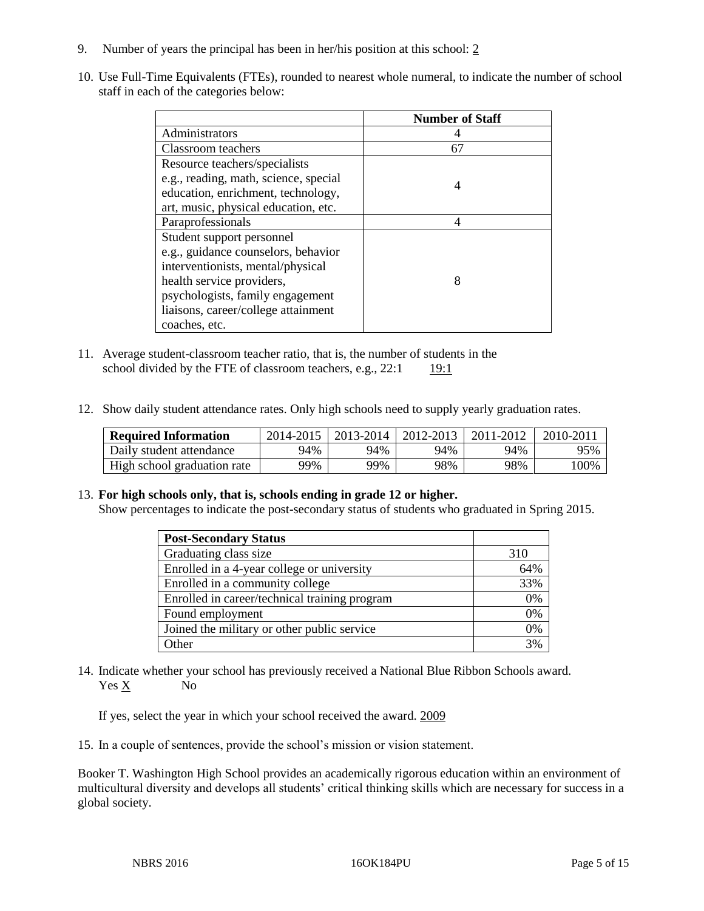- 9. Number of years the principal has been in her/his position at this school: 2
- 10. Use Full-Time Equivalents (FTEs), rounded to nearest whole numeral, to indicate the number of school staff in each of the categories below:

|                                       | <b>Number of Staff</b> |
|---------------------------------------|------------------------|
| Administrators                        |                        |
| Classroom teachers                    | 67                     |
| Resource teachers/specialists         |                        |
| e.g., reading, math, science, special | 4                      |
| education, enrichment, technology,    |                        |
| art, music, physical education, etc.  |                        |
| Paraprofessionals                     |                        |
| Student support personnel             |                        |
| e.g., guidance counselors, behavior   |                        |
| interventionists, mental/physical     |                        |
| health service providers,             | 8                      |
| psychologists, family engagement      |                        |
| liaisons, career/college attainment   |                        |
| coaches, etc.                         |                        |

- 11. Average student-classroom teacher ratio, that is, the number of students in the school divided by the FTE of classroom teachers, e.g.,  $22:1$  19:1
- 12. Show daily student attendance rates. Only high schools need to supply yearly graduation rates.

| <b>Required Information</b> | 2014-2015 | 2013-2014 | 2012-2013 | 2011-2012 | $2010 - 201$ . |
|-----------------------------|-----------|-----------|-----------|-----------|----------------|
| Daily student attendance    | 94%       | 94%       | 94%       | 94%       | 95%            |
| High school graduation rate | 99%       | 99%       | 98%       | 98%       | $100\%$        |

#### 13. **For high schools only, that is, schools ending in grade 12 or higher.**

Show percentages to indicate the post-secondary status of students who graduated in Spring 2015.

| <b>Post-Secondary Status</b>                  |     |
|-----------------------------------------------|-----|
| Graduating class size                         | 310 |
| Enrolled in a 4-year college or university    | 64% |
| Enrolled in a community college               | 33% |
| Enrolled in career/technical training program | 0%  |
| Found employment                              | 0%  |
| Joined the military or other public service   | 0%  |
| Other                                         | 3%  |

14. Indicate whether your school has previously received a National Blue Ribbon Schools award. Yes X No

If yes, select the year in which your school received the award. 2009

15. In a couple of sentences, provide the school's mission or vision statement.

Booker T. Washington High School provides an academically rigorous education within an environment of multicultural diversity and develops all students' critical thinking skills which are necessary for success in a global society.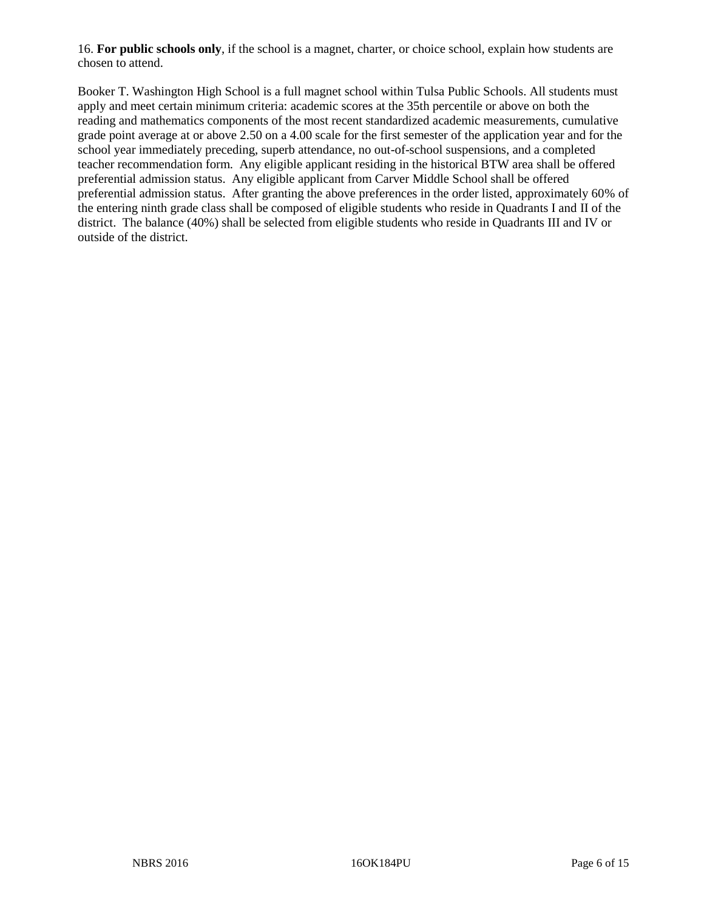16. **For public schools only**, if the school is a magnet, charter, or choice school, explain how students are chosen to attend.

Booker T. Washington High School is a full magnet school within Tulsa Public Schools. All students must apply and meet certain minimum criteria: academic scores at the 35th percentile or above on both the reading and mathematics components of the most recent standardized academic measurements, cumulative grade point average at or above 2.50 on a 4.00 scale for the first semester of the application year and for the school year immediately preceding, superb attendance, no out-of-school suspensions, and a completed teacher recommendation form. Any eligible applicant residing in the historical BTW area shall be offered preferential admission status. Any eligible applicant from Carver Middle School shall be offered preferential admission status. After granting the above preferences in the order listed, approximately 60% of the entering ninth grade class shall be composed of eligible students who reside in Quadrants I and II of the district. The balance (40%) shall be selected from eligible students who reside in Quadrants III and IV or outside of the district.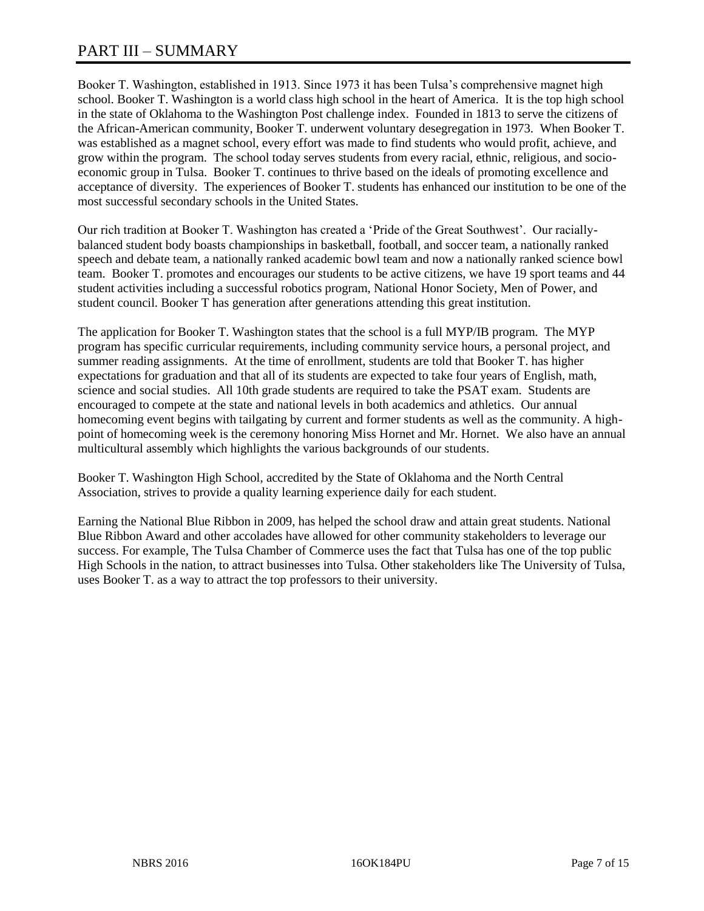## PART III – SUMMARY

Booker T. Washington, established in 1913. Since 1973 it has been Tulsa's comprehensive magnet high school. Booker T. Washington is a world class high school in the heart of America. It is the top high school in the state of Oklahoma to the Washington Post challenge index. Founded in 1813 to serve the citizens of the African-American community, Booker T. underwent voluntary desegregation in 1973. When Booker T. was established as a magnet school, every effort was made to find students who would profit, achieve, and grow within the program. The school today serves students from every racial, ethnic, religious, and socioeconomic group in Tulsa. Booker T. continues to thrive based on the ideals of promoting excellence and acceptance of diversity. The experiences of Booker T. students has enhanced our institution to be one of the most successful secondary schools in the United States.

Our rich tradition at Booker T. Washington has created a 'Pride of the Great Southwest'. Our raciallybalanced student body boasts championships in basketball, football, and soccer team, a nationally ranked speech and debate team, a nationally ranked academic bowl team and now a nationally ranked science bowl team. Booker T. promotes and encourages our students to be active citizens, we have 19 sport teams and 44 student activities including a successful robotics program, National Honor Society, Men of Power, and student council. Booker T has generation after generations attending this great institution.

The application for Booker T. Washington states that the school is a full MYP/IB program. The MYP program has specific curricular requirements, including community service hours, a personal project, and summer reading assignments. At the time of enrollment, students are told that Booker T. has higher expectations for graduation and that all of its students are expected to take four years of English, math, science and social studies. All 10th grade students are required to take the PSAT exam. Students are encouraged to compete at the state and national levels in both academics and athletics. Our annual homecoming event begins with tailgating by current and former students as well as the community. A highpoint of homecoming week is the ceremony honoring Miss Hornet and Mr. Hornet. We also have an annual multicultural assembly which highlights the various backgrounds of our students.

Booker T. Washington High School, accredited by the State of Oklahoma and the North Central Association, strives to provide a quality learning experience daily for each student.

Earning the National Blue Ribbon in 2009, has helped the school draw and attain great students. National Blue Ribbon Award and other accolades have allowed for other community stakeholders to leverage our success. For example, The Tulsa Chamber of Commerce uses the fact that Tulsa has one of the top public High Schools in the nation, to attract businesses into Tulsa. Other stakeholders like The University of Tulsa, uses Booker T. as a way to attract the top professors to their university.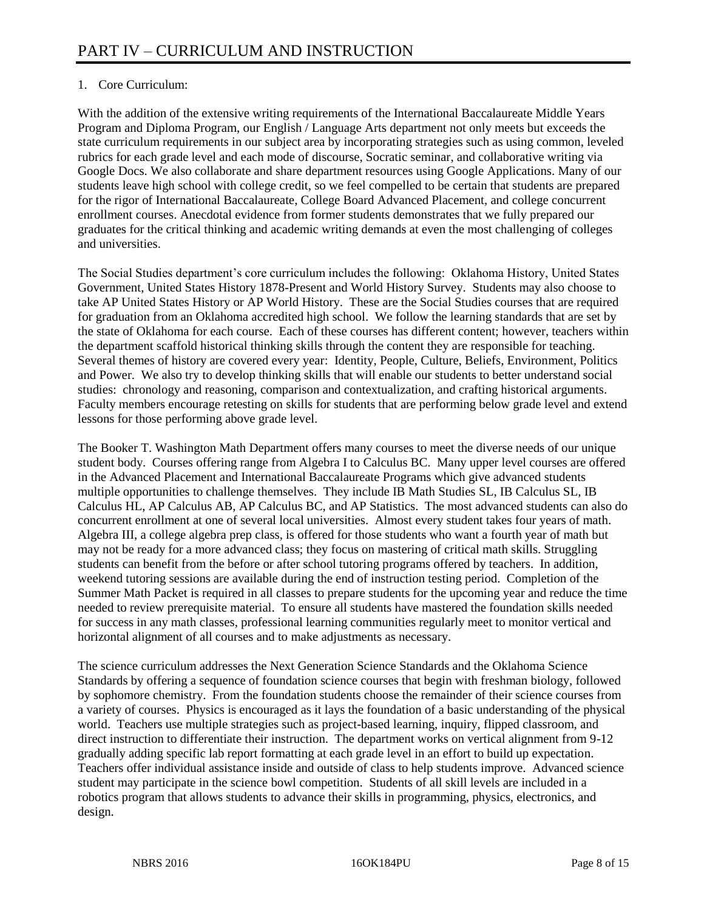### 1. Core Curriculum:

With the addition of the extensive writing requirements of the International Baccalaureate Middle Years Program and Diploma Program, our English / Language Arts department not only meets but exceeds the state curriculum requirements in our subject area by incorporating strategies such as using common, leveled rubrics for each grade level and each mode of discourse, Socratic seminar, and collaborative writing via Google Docs. We also collaborate and share department resources using Google Applications. Many of our students leave high school with college credit, so we feel compelled to be certain that students are prepared for the rigor of International Baccalaureate, College Board Advanced Placement, and college concurrent enrollment courses. Anecdotal evidence from former students demonstrates that we fully prepared our graduates for the critical thinking and academic writing demands at even the most challenging of colleges and universities.

The Social Studies department's core curriculum includes the following: Oklahoma History, United States Government, United States History 1878-Present and World History Survey. Students may also choose to take AP United States History or AP World History. These are the Social Studies courses that are required for graduation from an Oklahoma accredited high school. We follow the learning standards that are set by the state of Oklahoma for each course. Each of these courses has different content; however, teachers within the department scaffold historical thinking skills through the content they are responsible for teaching. Several themes of history are covered every year: Identity, People, Culture, Beliefs, Environment, Politics and Power. We also try to develop thinking skills that will enable our students to better understand social studies: chronology and reasoning, comparison and contextualization, and crafting historical arguments. Faculty members encourage retesting on skills for students that are performing below grade level and extend lessons for those performing above grade level.

The Booker T. Washington Math Department offers many courses to meet the diverse needs of our unique student body. Courses offering range from Algebra I to Calculus BC. Many upper level courses are offered in the Advanced Placement and International Baccalaureate Programs which give advanced students multiple opportunities to challenge themselves. They include IB Math Studies SL, IB Calculus SL, IB Calculus HL, AP Calculus AB, AP Calculus BC, and AP Statistics. The most advanced students can also do concurrent enrollment at one of several local universities. Almost every student takes four years of math. Algebra III, a college algebra prep class, is offered for those students who want a fourth year of math but may not be ready for a more advanced class; they focus on mastering of critical math skills. Struggling students can benefit from the before or after school tutoring programs offered by teachers. In addition, weekend tutoring sessions are available during the end of instruction testing period. Completion of the Summer Math Packet is required in all classes to prepare students for the upcoming year and reduce the time needed to review prerequisite material. To ensure all students have mastered the foundation skills needed for success in any math classes, professional learning communities regularly meet to monitor vertical and horizontal alignment of all courses and to make adjustments as necessary.

The science curriculum addresses the Next Generation Science Standards and the Oklahoma Science Standards by offering a sequence of foundation science courses that begin with freshman biology, followed by sophomore chemistry. From the foundation students choose the remainder of their science courses from a variety of courses. Physics is encouraged as it lays the foundation of a basic understanding of the physical world. Teachers use multiple strategies such as project-based learning, inquiry, flipped classroom, and direct instruction to differentiate their instruction. The department works on vertical alignment from 9-12 gradually adding specific lab report formatting at each grade level in an effort to build up expectation. Teachers offer individual assistance inside and outside of class to help students improve. Advanced science student may participate in the science bowl competition. Students of all skill levels are included in a robotics program that allows students to advance their skills in programming, physics, electronics, and design.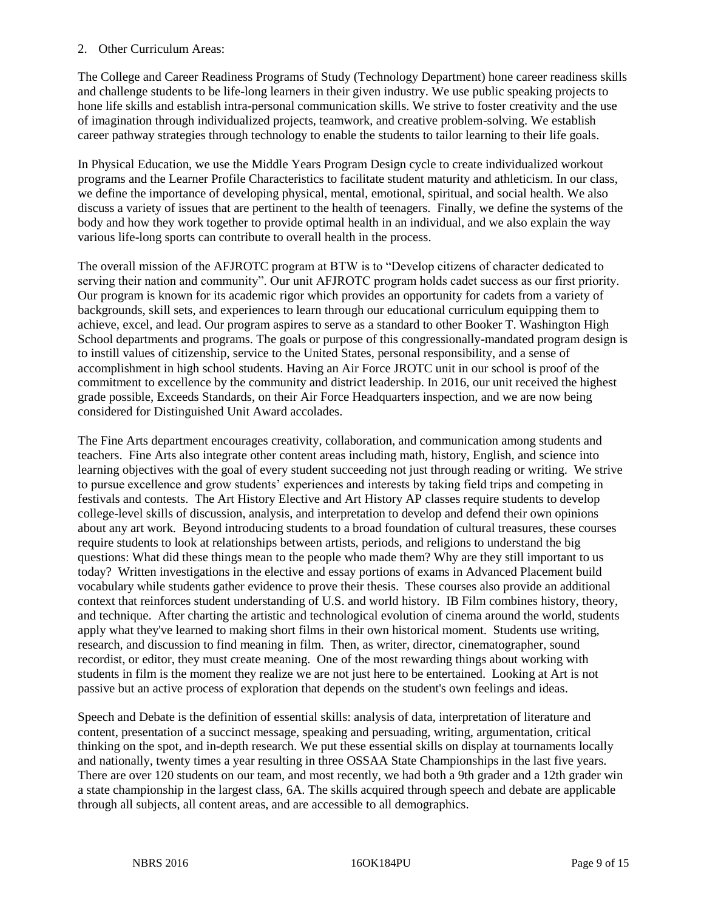#### 2. Other Curriculum Areas:

The College and Career Readiness Programs of Study (Technology Department) hone career readiness skills and challenge students to be life-long learners in their given industry. We use public speaking projects to hone life skills and establish intra-personal communication skills. We strive to foster creativity and the use of imagination through individualized projects, teamwork, and creative problem-solving. We establish career pathway strategies through technology to enable the students to tailor learning to their life goals.

In Physical Education, we use the Middle Years Program Design cycle to create individualized workout programs and the Learner Profile Characteristics to facilitate student maturity and athleticism. In our class, we define the importance of developing physical, mental, emotional, spiritual, and social health. We also discuss a variety of issues that are pertinent to the health of teenagers. Finally, we define the systems of the body and how they work together to provide optimal health in an individual, and we also explain the way various life-long sports can contribute to overall health in the process.

The overall mission of the AFJROTC program at BTW is to "Develop citizens of character dedicated to serving their nation and community". Our unit AFJROTC program holds cadet success as our first priority. Our program is known for its academic rigor which provides an opportunity for cadets from a variety of backgrounds, skill sets, and experiences to learn through our educational curriculum equipping them to achieve, excel, and lead. Our program aspires to serve as a standard to other Booker T. Washington High School departments and programs. The goals or purpose of this congressionally-mandated program design is to instill values of citizenship, service to the United States, personal responsibility, and a sense of accomplishment in high school students. Having an Air Force JROTC unit in our school is proof of the commitment to excellence by the community and district leadership. In 2016, our unit received the highest grade possible, Exceeds Standards, on their Air Force Headquarters inspection, and we are now being considered for Distinguished Unit Award accolades.

The Fine Arts department encourages creativity, collaboration, and communication among students and teachers. Fine Arts also integrate other content areas including math, history, English, and science into learning objectives with the goal of every student succeeding not just through reading or writing. We strive to pursue excellence and grow students' experiences and interests by taking field trips and competing in festivals and contests. The Art History Elective and Art History AP classes require students to develop college-level skills of discussion, analysis, and interpretation to develop and defend their own opinions about any art work. Beyond introducing students to a broad foundation of cultural treasures, these courses require students to look at relationships between artists, periods, and religions to understand the big questions: What did these things mean to the people who made them? Why are they still important to us today? Written investigations in the elective and essay portions of exams in Advanced Placement build vocabulary while students gather evidence to prove their thesis. These courses also provide an additional context that reinforces student understanding of U.S. and world history. IB Film combines history, theory, and technique. After charting the artistic and technological evolution of cinema around the world, students apply what they've learned to making short films in their own historical moment. Students use writing, research, and discussion to find meaning in film. Then, as writer, director, cinematographer, sound recordist, or editor, they must create meaning. One of the most rewarding things about working with students in film is the moment they realize we are not just here to be entertained. Looking at Art is not passive but an active process of exploration that depends on the student's own feelings and ideas.

Speech and Debate is the definition of essential skills: analysis of data, interpretation of literature and content, presentation of a succinct message, speaking and persuading, writing, argumentation, critical thinking on the spot, and in-depth research. We put these essential skills on display at tournaments locally and nationally, twenty times a year resulting in three OSSAA State Championships in the last five years. There are over 120 students on our team, and most recently, we had both a 9th grader and a 12th grader win a state championship in the largest class, 6A. The skills acquired through speech and debate are applicable through all subjects, all content areas, and are accessible to all demographics.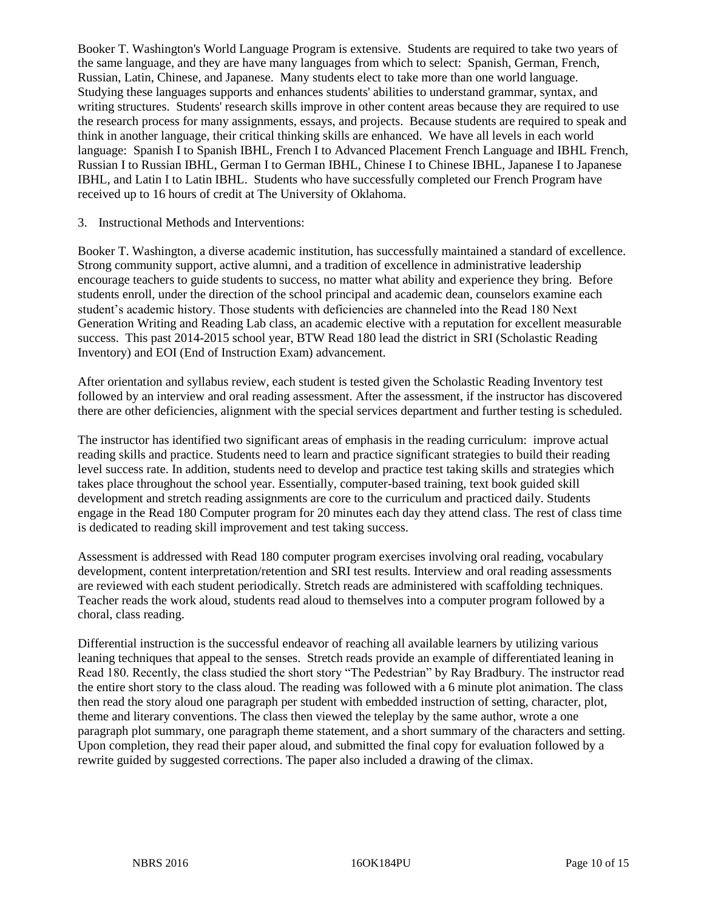Booker T. Washington's World Language Program is extensive. Students are required to take two years of the same language, and they are have many languages from which to select: Spanish, German, French, Russian, Latin, Chinese, and Japanese. Many students elect to take more than one world language. Studying these languages supports and enhances students' abilities to understand grammar, syntax, and writing structures. Students' research skills improve in other content areas because they are required to use the research process for many assignments, essays, and projects. Because students are required to speak and think in another language, their critical thinking skills are enhanced. We have all levels in each world language: Spanish I to Spanish IBHL, French I to Advanced Placement French Language and IBHL French, Russian I to Russian IBHL, German I to German IBHL, Chinese I to Chinese IBHL, Japanese I to Japanese IBHL, and Latin I to Latin IBHL. Students who have successfully completed our French Program have received up to 16 hours of credit at The University of Oklahoma.

#### 3. Instructional Methods and Interventions:

Booker T. Washington, a diverse academic institution, has successfully maintained a standard of excellence. Strong community support, active alumni, and a tradition of excellence in administrative leadership encourage teachers to guide students to success, no matter what ability and experience they bring. Before students enroll, under the direction of the school principal and academic dean, counselors examine each student's academic history. Those students with deficiencies are channeled into the Read 180 Next Generation Writing and Reading Lab class, an academic elective with a reputation for excellent measurable success. This past 2014-2015 school year, BTW Read 180 lead the district in SRI (Scholastic Reading Inventory) and EOI (End of Instruction Exam) advancement.

After orientation and syllabus review, each student is tested given the Scholastic Reading Inventory test followed by an interview and oral reading assessment. After the assessment, if the instructor has discovered there are other deficiencies, alignment with the special services department and further testing is scheduled.

The instructor has identified two significant areas of emphasis in the reading curriculum: improve actual reading skills and practice. Students need to learn and practice significant strategies to build their reading level success rate. In addition, students need to develop and practice test taking skills and strategies which takes place throughout the school year. Essentially, computer-based training, text book guided skill development and stretch reading assignments are core to the curriculum and practiced daily. Students engage in the Read 180 Computer program for 20 minutes each day they attend class. The rest of class time is dedicated to reading skill improvement and test taking success.

Assessment is addressed with Read 180 computer program exercises involving oral reading, vocabulary development, content interpretation/retention and SRI test results. Interview and oral reading assessments are reviewed with each student periodically. Stretch reads are administered with scaffolding techniques. Teacher reads the work aloud, students read aloud to themselves into a computer program followed by a choral, class reading.

Differential instruction is the successful endeavor of reaching all available learners by utilizing various leaning techniques that appeal to the senses. Stretch reads provide an example of differentiated leaning in Read 180. Recently, the class studied the short story "The Pedestrian" by Ray Bradbury. The instructor read the entire short story to the class aloud. The reading was followed with a 6 minute plot animation. The class then read the story aloud one paragraph per student with embedded instruction of setting, character, plot, theme and literary conventions. The class then viewed the teleplay by the same author, wrote a one paragraph plot summary, one paragraph theme statement, and a short summary of the characters and setting. Upon completion, they read their paper aloud, and submitted the final copy for evaluation followed by a rewrite guided by suggested corrections. The paper also included a drawing of the climax.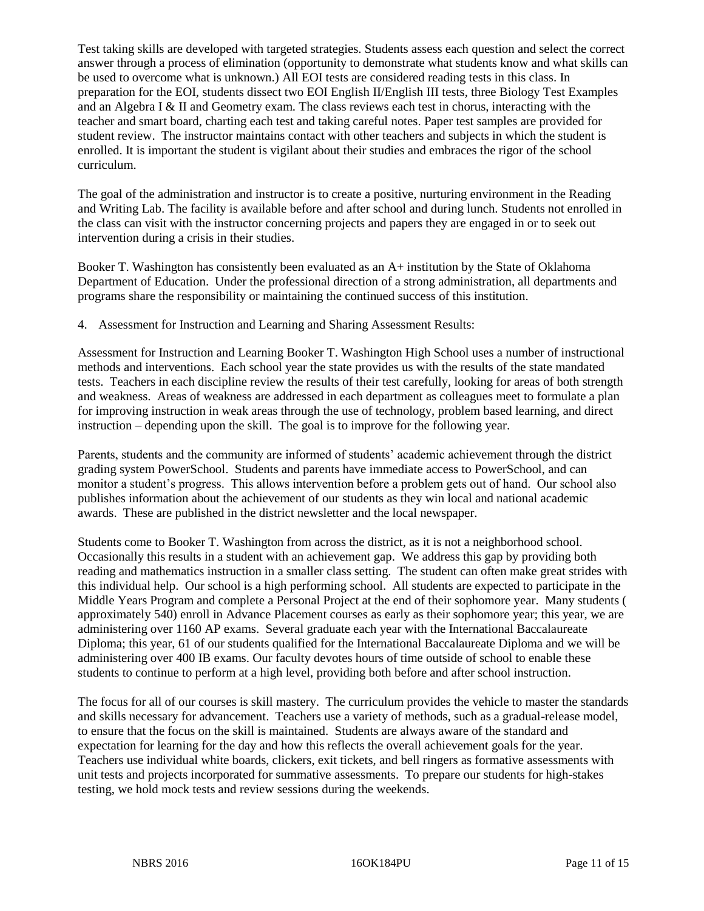Test taking skills are developed with targeted strategies. Students assess each question and select the correct answer through a process of elimination (opportunity to demonstrate what students know and what skills can be used to overcome what is unknown.) All EOI tests are considered reading tests in this class. In preparation for the EOI, students dissect two EOI English II/English III tests, three Biology Test Examples and an Algebra I & II and Geometry exam. The class reviews each test in chorus, interacting with the teacher and smart board, charting each test and taking careful notes. Paper test samples are provided for student review. The instructor maintains contact with other teachers and subjects in which the student is enrolled. It is important the student is vigilant about their studies and embraces the rigor of the school curriculum.

The goal of the administration and instructor is to create a positive, nurturing environment in the Reading and Writing Lab. The facility is available before and after school and during lunch. Students not enrolled in the class can visit with the instructor concerning projects and papers they are engaged in or to seek out intervention during a crisis in their studies.

Booker T. Washington has consistently been evaluated as an A+ institution by the State of Oklahoma Department of Education. Under the professional direction of a strong administration, all departments and programs share the responsibility or maintaining the continued success of this institution.

4. Assessment for Instruction and Learning and Sharing Assessment Results:

Assessment for Instruction and Learning Booker T. Washington High School uses a number of instructional methods and interventions. Each school year the state provides us with the results of the state mandated tests. Teachers in each discipline review the results of their test carefully, looking for areas of both strength and weakness. Areas of weakness are addressed in each department as colleagues meet to formulate a plan for improving instruction in weak areas through the use of technology, problem based learning, and direct instruction – depending upon the skill. The goal is to improve for the following year.

Parents, students and the community are informed of students' academic achievement through the district grading system PowerSchool. Students and parents have immediate access to PowerSchool, and can monitor a student's progress. This allows intervention before a problem gets out of hand. Our school also publishes information about the achievement of our students as they win local and national academic awards. These are published in the district newsletter and the local newspaper.

Students come to Booker T. Washington from across the district, as it is not a neighborhood school. Occasionally this results in a student with an achievement gap. We address this gap by providing both reading and mathematics instruction in a smaller class setting. The student can often make great strides with this individual help. Our school is a high performing school. All students are expected to participate in the Middle Years Program and complete a Personal Project at the end of their sophomore year. Many students ( approximately 540) enroll in Advance Placement courses as early as their sophomore year; this year, we are administering over 1160 AP exams. Several graduate each year with the International Baccalaureate Diploma; this year, 61 of our students qualified for the International Baccalaureate Diploma and we will be administering over 400 IB exams. Our faculty devotes hours of time outside of school to enable these students to continue to perform at a high level, providing both before and after school instruction.

The focus for all of our courses is skill mastery. The curriculum provides the vehicle to master the standards and skills necessary for advancement. Teachers use a variety of methods, such as a gradual-release model, to ensure that the focus on the skill is maintained. Students are always aware of the standard and expectation for learning for the day and how this reflects the overall achievement goals for the year. Teachers use individual white boards, clickers, exit tickets, and bell ringers as formative assessments with unit tests and projects incorporated for summative assessments. To prepare our students for high-stakes testing, we hold mock tests and review sessions during the weekends.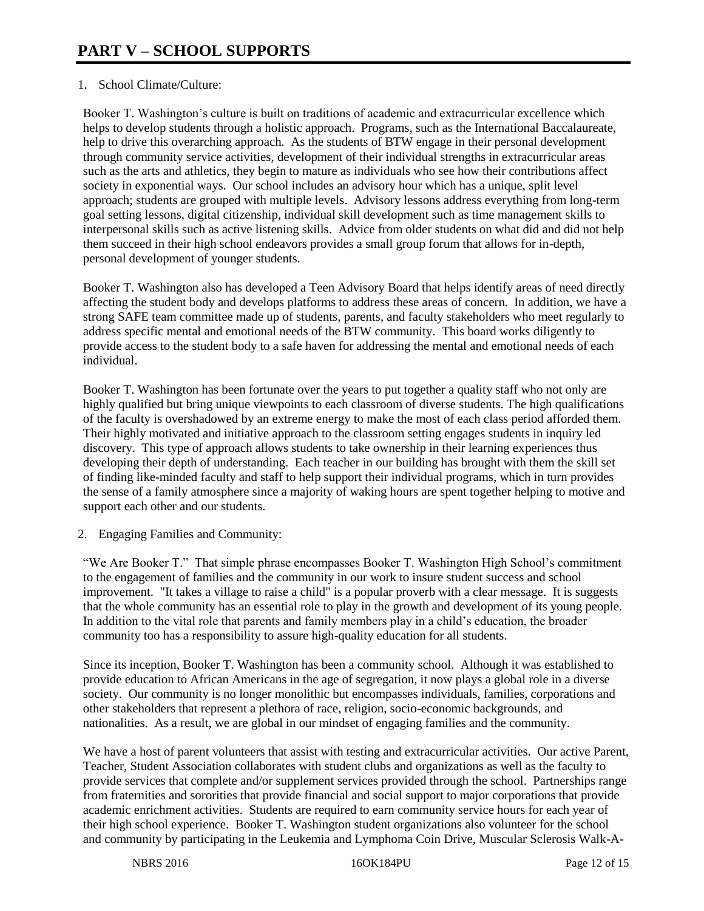#### 1. School Climate/Culture:

Booker T. Washington's culture is built on traditions of academic and extracurricular excellence which helps to develop students through a holistic approach. Programs, such as the International Baccalaureate, help to drive this overarching approach. As the students of BTW engage in their personal development through community service activities, development of their individual strengths in extracurricular areas such as the arts and athletics, they begin to mature as individuals who see how their contributions affect society in exponential ways. Our school includes an advisory hour which has a unique, split level approach; students are grouped with multiple levels. Advisory lessons address everything from long-term goal setting lessons, digital citizenship, individual skill development such as time management skills to interpersonal skills such as active listening skills. Advice from older students on what did and did not help them succeed in their high school endeavors provides a small group forum that allows for in-depth, personal development of younger students.

Booker T. Washington also has developed a Teen Advisory Board that helps identify areas of need directly affecting the student body and develops platforms to address these areas of concern. In addition, we have a strong SAFE team committee made up of students, parents, and faculty stakeholders who meet regularly to address specific mental and emotional needs of the BTW community. This board works diligently to provide access to the student body to a safe haven for addressing the mental and emotional needs of each individual.

Booker T. Washington has been fortunate over the years to put together a quality staff who not only are highly qualified but bring unique viewpoints to each classroom of diverse students. The high qualifications of the faculty is overshadowed by an extreme energy to make the most of each class period afforded them. Their highly motivated and initiative approach to the classroom setting engages students in inquiry led discovery. This type of approach allows students to take ownership in their learning experiences thus developing their depth of understanding. Each teacher in our building has brought with them the skill set of finding like-minded faculty and staff to help support their individual programs, which in turn provides the sense of a family atmosphere since a majority of waking hours are spent together helping to motive and support each other and our students.

2. Engaging Families and Community:

"We Are Booker T." That simple phrase encompasses Booker T. Washington High School's commitment to the engagement of families and the community in our work to insure student success and school improvement. "It takes a village to raise a child" is a popular proverb with a clear message. It is suggests that the whole community has an essential role to play in the growth and development of its young people. In addition to the vital role that parents and family members play in a child's education, the broader community too has a responsibility to assure high-quality education for all students.

Since its inception, Booker T. Washington has been a community school. Although it was established to provide education to African Americans in the age of segregation, it now plays a global role in a diverse society. Our community is no longer monolithic but encompasses individuals, families, corporations and other stakeholders that represent a plethora of race, religion, socio-economic backgrounds, and nationalities. As a result, we are global in our mindset of engaging families and the community.

We have a host of parent volunteers that assist with testing and extracurricular activities. Our active Parent, Teacher, Student Association collaborates with student clubs and organizations as well as the faculty to provide services that complete and/or supplement services provided through the school. Partnerships range from fraternities and sororities that provide financial and social support to major corporations that provide academic enrichment activities. Students are required to earn community service hours for each year of their high school experience. Booker T. Washington student organizations also volunteer for the school and community by participating in the Leukemia and Lymphoma Coin Drive, Muscular Sclerosis Walk-A-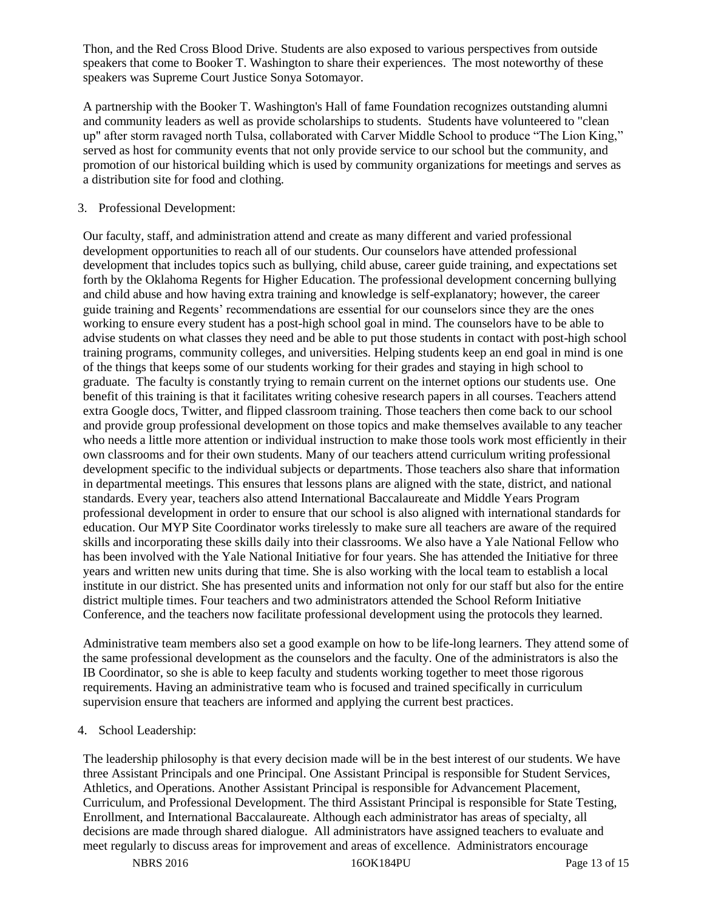Thon, and the Red Cross Blood Drive. Students are also exposed to various perspectives from outside speakers that come to Booker T. Washington to share their experiences. The most noteworthy of these speakers was Supreme Court Justice Sonya Sotomayor.

A partnership with the Booker T. Washington's Hall of fame Foundation recognizes outstanding alumni and community leaders as well as provide scholarships to students. Students have volunteered to "clean up" after storm ravaged north Tulsa, collaborated with Carver Middle School to produce "The Lion King," served as host for community events that not only provide service to our school but the community, and promotion of our historical building which is used by community organizations for meetings and serves as a distribution site for food and clothing.

#### 3. Professional Development:

Our faculty, staff, and administration attend and create as many different and varied professional development opportunities to reach all of our students. Our counselors have attended professional development that includes topics such as bullying, child abuse, career guide training, and expectations set forth by the Oklahoma Regents for Higher Education. The professional development concerning bullying and child abuse and how having extra training and knowledge is self-explanatory; however, the career guide training and Regents' recommendations are essential for our counselors since they are the ones working to ensure every student has a post-high school goal in mind. The counselors have to be able to advise students on what classes they need and be able to put those students in contact with post-high school training programs, community colleges, and universities. Helping students keep an end goal in mind is one of the things that keeps some of our students working for their grades and staying in high school to graduate. The faculty is constantly trying to remain current on the internet options our students use. One benefit of this training is that it facilitates writing cohesive research papers in all courses. Teachers attend extra Google docs, Twitter, and flipped classroom training. Those teachers then come back to our school and provide group professional development on those topics and make themselves available to any teacher who needs a little more attention or individual instruction to make those tools work most efficiently in their own classrooms and for their own students. Many of our teachers attend curriculum writing professional development specific to the individual subjects or departments. Those teachers also share that information in departmental meetings. This ensures that lessons plans are aligned with the state, district, and national standards. Every year, teachers also attend International Baccalaureate and Middle Years Program professional development in order to ensure that our school is also aligned with international standards for education. Our MYP Site Coordinator works tirelessly to make sure all teachers are aware of the required skills and incorporating these skills daily into their classrooms. We also have a Yale National Fellow who has been involved with the Yale National Initiative for four years. She has attended the Initiative for three years and written new units during that time. She is also working with the local team to establish a local institute in our district. She has presented units and information not only for our staff but also for the entire district multiple times. Four teachers and two administrators attended the School Reform Initiative Conference, and the teachers now facilitate professional development using the protocols they learned.

Administrative team members also set a good example on how to be life-long learners. They attend some of the same professional development as the counselors and the faculty. One of the administrators is also the IB Coordinator, so she is able to keep faculty and students working together to meet those rigorous requirements. Having an administrative team who is focused and trained specifically in curriculum supervision ensure that teachers are informed and applying the current best practices.

#### 4. School Leadership:

The leadership philosophy is that every decision made will be in the best interest of our students. We have three Assistant Principals and one Principal. One Assistant Principal is responsible for Student Services, Athletics, and Operations. Another Assistant Principal is responsible for Advancement Placement, Curriculum, and Professional Development. The third Assistant Principal is responsible for State Testing, Enrollment, and International Baccalaureate. Although each administrator has areas of specialty, all decisions are made through shared dialogue. All administrators have assigned teachers to evaluate and meet regularly to discuss areas for improvement and areas of excellence. Administrators encourage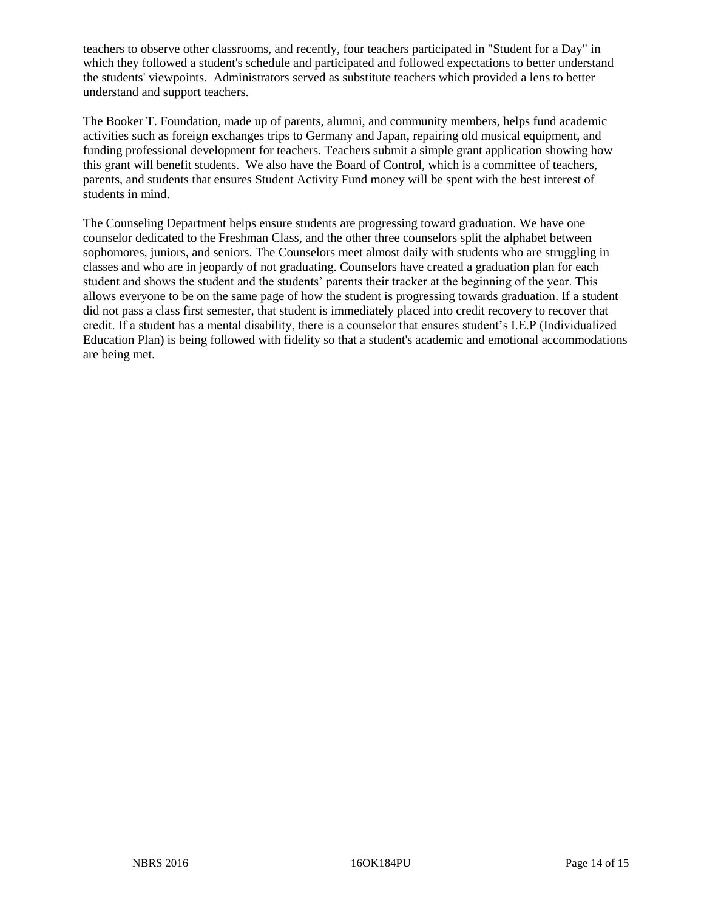teachers to observe other classrooms, and recently, four teachers participated in "Student for a Day" in which they followed a student's schedule and participated and followed expectations to better understand the students' viewpoints. Administrators served as substitute teachers which provided a lens to better understand and support teachers.

The Booker T. Foundation, made up of parents, alumni, and community members, helps fund academic activities such as foreign exchanges trips to Germany and Japan, repairing old musical equipment, and funding professional development for teachers. Teachers submit a simple grant application showing how this grant will benefit students. We also have the Board of Control, which is a committee of teachers, parents, and students that ensures Student Activity Fund money will be spent with the best interest of students in mind.

The Counseling Department helps ensure students are progressing toward graduation. We have one counselor dedicated to the Freshman Class, and the other three counselors split the alphabet between sophomores, juniors, and seniors. The Counselors meet almost daily with students who are struggling in classes and who are in jeopardy of not graduating. Counselors have created a graduation plan for each student and shows the student and the students' parents their tracker at the beginning of the year. This allows everyone to be on the same page of how the student is progressing towards graduation. If a student did not pass a class first semester, that student is immediately placed into credit recovery to recover that credit. If a student has a mental disability, there is a counselor that ensures student's I.E.P (Individualized Education Plan) is being followed with fidelity so that a student's academic and emotional accommodations are being met.